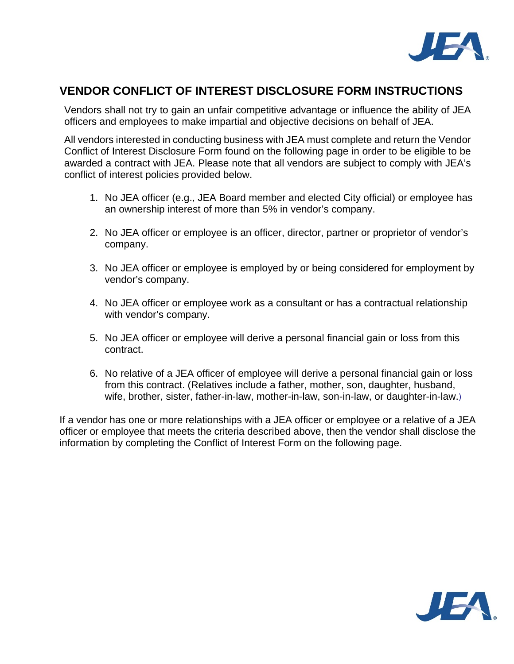

## **VENDOR CONFLICT OF INTEREST DISCLOSURE FORM INSTRUCTIONS**

Vendors shall not try to gain an unfair competitive advantage or influence the ability of JEA officers and employees to make impartial and objective decisions on behalf of JEA.

All vendors interested in conducting business with JEA must complete and return the Vendor Conflict of Interest Disclosure Form found on the following page in order to be eligible to be awarded a contract with JEA. Please note that all vendors are subject to comply with JEA's conflict of interest policies provided below.

- 1. No JEA officer (e.g., JEA Board member and elected City official) or employee has an ownership interest of more than 5% in vendor's company.
- 2. No JEA officer or employee is an officer, director, partner or proprietor of vendor's company.
- 3. No JEA officer or employee is employed by or being considered for employment by vendor's company.
- 4. No JEA officer or employee work as a consultant or has a contractual relationship with vendor's company.
- 5. No JEA officer or employee will derive a personal financial gain or loss from this contract.
- 6. No relative of a JEA officer of employee will derive a personal financial gain or loss from this contract. (Relatives include a father, mother, son, daughter, husband, wife, brother, sister, father-in-law, mother-in-law, son-in-law, or daughter-in-law.)

If a vendor has one or more relationships with a JEA officer or employee or a relative of a JEA officer or employee that meets the criteria described above, then the vendor shall disclose the information by completing the Conflict of Interest Form on the following page.